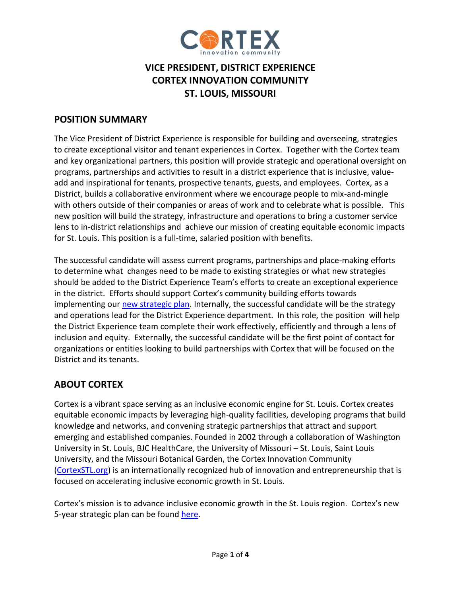

# **VICE PRESIDENT, DISTRICT EXPERIENCE CORTEX INNOVATION COMMUNITY ST. LOUIS, MISSOURI**

### **POSITION SUMMARY**

The Vice President of District Experience is responsible for building and overseeing, strategies to create exceptional visitor and tenant experiences in Cortex. Together with the Cortex team and key organizational partners, this position will provide strategic and operational oversight on programs, partnerships and activities to result in a district experience that is inclusive, valueadd and inspirational for tenants, prospective tenants, guests, and employees. Cortex, as a District, builds a collaborative environment where we encourage people to mix-and-mingle with others outside of their companies or areas of work and to celebrate what is possible. This new position will build the strategy, infrastructure and operations to bring a customer service lens to in-district relationships and achieve our mission of creating equitable economic impacts for St. Louis. This position is a full-time, salaried position with benefits.

The successful candidate will assess current programs, partnerships and place-making efforts to determine what changes need to be made to existing strategies or what new strategies should be added to the District Experience Team's efforts to create an exceptional experience in the district. Efforts should support Cortex's community building efforts towards implementing our [new strategic plan.](http://www.cortexstl.com/) Internally, the successful candidate will be the strategy and operations lead for the District Experience department. In this role, the position will help the District Experience team complete their work effectively, efficiently and through a lens of inclusion and equity. Externally, the successful candidate will be the first point of contact for organizations or entities looking to build partnerships with Cortex that will be focused on the District and its tenants.

# **ABOUT CORTEX**

Cortex is a vibrant space serving as an inclusive economic engine for St. Louis. Cortex creates equitable economic impacts by leveraging high-quality facilities, developing programs that build knowledge and networks, and convening strategic partnerships that attract and support emerging and established companies. Founded in 2002 through a collaboration of Washington University in St. Louis, BJC HealthCare, the University of Missouri – St. Louis, Saint Louis University, and the Missouri Botanical Garden, the Cortex Innovation Community [\(CortexSTL.org\)](https://www.cortexstl.org/) is an internationally recognized hub of innovation and entrepreneurship that is focused on accelerating inclusive economic growth in St. Louis.

Cortex's mission is to advance inclusive economic growth in the St. Louis region. Cortex's new 5-year strategic plan can be found [here.](http://www.cortexstl.com/)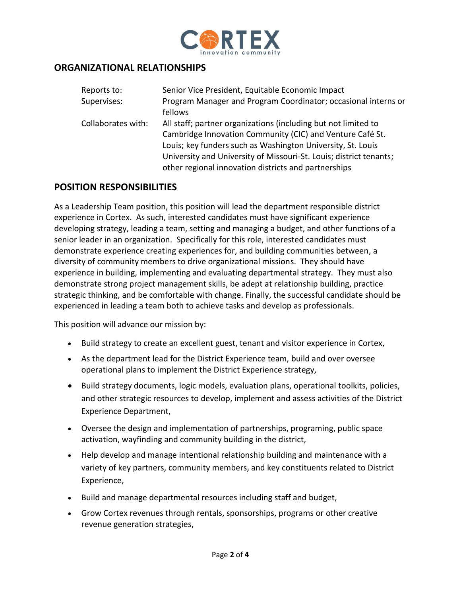

#### **ORGANIZATIONAL RELATIONSHIPS**

| Reports to:        | Senior Vice President, Equitable Economic Impact                   |
|--------------------|--------------------------------------------------------------------|
| Supervises:        | Program Manager and Program Coordinator; occasional interns or     |
|                    | fellows                                                            |
| Collaborates with: | All staff; partner organizations (including but not limited to     |
|                    | Cambridge Innovation Community (CIC) and Venture Café St.          |
|                    | Louis; key funders such as Washington University, St. Louis        |
|                    | University and University of Missouri-St. Louis; district tenants; |
|                    | other regional innovation districts and partnerships               |

#### **POSITION RESPONSIBILITIES**

As a Leadership Team position, this position will lead the department responsible district experience in Cortex. As such, interested candidates must have significant experience developing strategy, leading a team, setting and managing a budget, and other functions of a senior leader in an organization. Specifically for this role, interested candidates must demonstrate experience creating experiences for, and building communities between, a diversity of community members to drive organizational missions. They should have experience in building, implementing and evaluating departmental strategy. They must also demonstrate strong project management skills, be adept at relationship building, practice strategic thinking, and be comfortable with change. Finally, the successful candidate should be experienced in leading a team both to achieve tasks and develop as professionals.

This position will advance our mission by:

- Build strategy to create an excellent guest, tenant and visitor experience in Cortex,
- As the department lead for the District Experience team, build and over oversee operational plans to implement the District Experience strategy,
- Build strategy documents, logic models, evaluation plans, operational toolkits, policies, and other strategic resources to develop, implement and assess activities of the District Experience Department,
- Oversee the design and implementation of partnerships, programing, public space activation, wayfinding and community building in the district,
- Help develop and manage intentional relationship building and maintenance with a variety of key partners, community members, and key constituents related to District Experience,
- Build and manage departmental resources including staff and budget,
- Grow Cortex revenues through rentals, sponsorships, programs or other creative revenue generation strategies,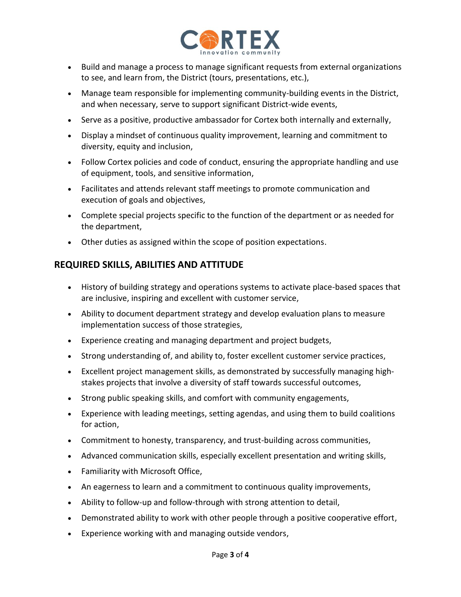

- Build and manage a process to manage significant requests from external organizations to see, and learn from, the District (tours, presentations, etc.),
- Manage team responsible for implementing community-building events in the District, and when necessary, serve to support significant District-wide events,
- Serve as a positive, productive ambassador for Cortex both internally and externally,
- Display a mindset of continuous quality improvement, learning and commitment to diversity, equity and inclusion,
- Follow Cortex policies and code of conduct, ensuring the appropriate handling and use of equipment, tools, and sensitive information,
- Facilitates and attends relevant staff meetings to promote communication and execution of goals and objectives,
- Complete special projects specific to the function of the department or as needed for the department,
- Other duties as assigned within the scope of position expectations.

## **REQUIRED SKILLS, ABILITIES AND ATTITUDE**

- History of building strategy and operations systems to activate place-based spaces that are inclusive, inspiring and excellent with customer service,
- Ability to document department strategy and develop evaluation plans to measure implementation success of those strategies,
- Experience creating and managing department and project budgets,
- Strong understanding of, and ability to, foster excellent customer service practices,
- Excellent project management skills, as demonstrated by successfully managing highstakes projects that involve a diversity of staff towards successful outcomes,
- Strong public speaking skills, and comfort with community engagements,
- Experience with leading meetings, setting agendas, and using them to build coalitions for action,
- Commitment to honesty, transparency, and trust-building across communities,
- Advanced communication skills, especially excellent presentation and writing skills,
- Familiarity with Microsoft Office,
- An eagerness to learn and a commitment to continuous quality improvements,
- Ability to follow-up and follow-through with strong attention to detail,
- Demonstrated ability to work with other people through a positive cooperative effort,
- Experience working with and managing outside vendors,